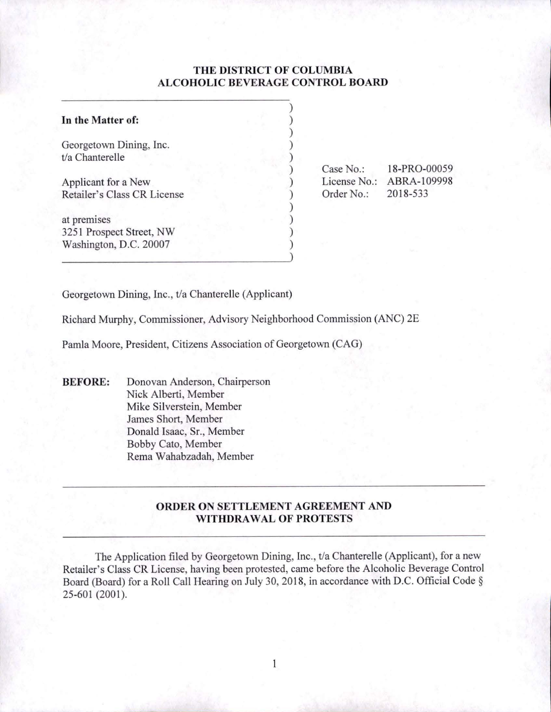# **THE DISTRICT OF COLUMBIA ALCOHOLIC BEVERAGE CONTROL BOARD**

) ) ) ) ) ) ) ) ) ) ) )

| In the Matter of:                                  |  |
|----------------------------------------------------|--|
| Georgetown Dining, Inc.<br>t/a Chanterelle         |  |
| Applicant for a New<br>Retailer's Class CR License |  |
| at premises                                        |  |
| 3251 Prospect Street, NW<br>Washington, D.C. 20007 |  |

Case No.: 18-PRO-00059 License No.: ABRA-109998 Order No.: 2018-533

Georgetown Dining, Inc., t/a Chanterelle (Applicant)

Richard Murphy, Commissioner, Advisory Neighborhood Commission (ANC) 2E

Pamla Moore, President, Citizens Association of Georgetown (CAG)

**BEFORE:** Donovan Anderson, Chairperson Nick Alberti, Member Mike Silverstein, Member James Short, Member Donald Isaac, Sr., Member Bobby Cato, Member Rema Wahabzadah, Member

## **ORDER ON SETTLEMENT AGREEMENT AND WITHDRAWAL OF PROTESTS**

The Application filed by Georgetown Dining, Inc., t/a Chanterelle (Applicant), for a new Retailer's Class CR License, having been protested, came before the Alcoholic Beverage Control Board (Board) for a Roll Call Hearing on July 30, 2018, in accordance with D.C. Official Code§ 25-601 (2001).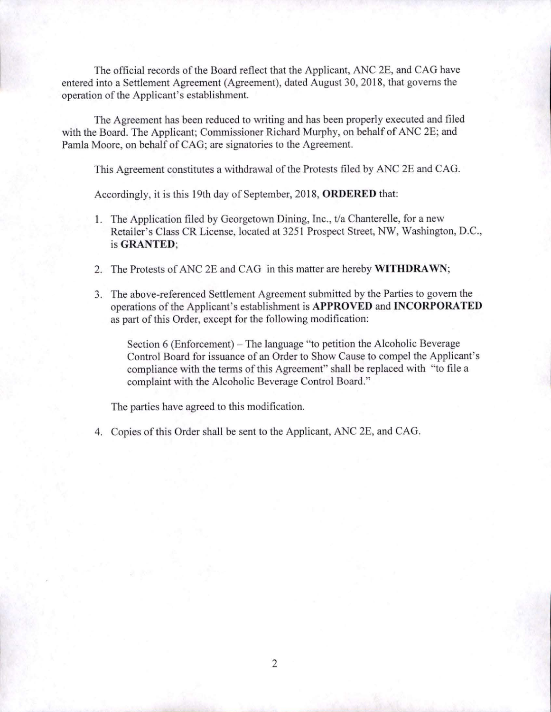The official records of the Board reflect that the Applicant, ANC 2E, and CAG have entered into a Settlement Agreement (Agreement), dated August 30, 2018, that governs the operation of the Applicant's establishment.

The Agreement has been reduced to writing and has been properly executed and filed with the Board. The Applicant; Commissioner Richard Murphy, on behalf of ANC 2E; and Pamla Moore, on behalf of CAG; are signatories to the Agreement.

This Agreement constitutes a withdrawal of the Protests filed by ANC 2E and CAG.

Accordingly, it is this 19th day of September, 2018, **ORDERED** that:

- 1. The Application filed by Georgetown Dining, Inc., t/a Chanterelle, for a new Retailer's Class CR License, located at 3251 Prospect Street, NW, Washington, D.C., is **GRANTED;**
- 2. The Protests of ANC 2E and CAG in this matter are hereby **WITHDRAWN;**
- 3. The above-referenced Settlement Agreement submitted by the Parties to govern the operations of the Applicant's establishment is **APPROVED and INCORPORATED**  as part of this Order, except for the following modification:

Section 6 (Enforcement) – The language "to petition the Alcoholic Beverage Control Board for issuance of an Order to Show Cause to compel the Applicant's compliance with the terms of this Agreement" shall be replaced with "to file a complaint with the Alcoholic Beverage Control Board."

The parties have agreed to this modification.

4. Copies of this Order shall be sent to the Applicant, ANC 2E, and CAG.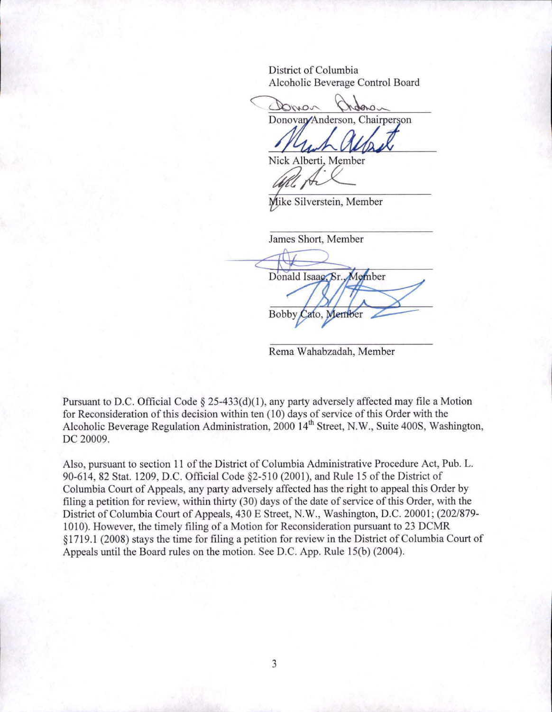District of Columbia Alcoholic Beverage Control Board

Donon Donovan/Anderson, Chairperson

Nick Alberti, Member

Mike Silverstein, Member

James Short, Member Donald Isaao, Sr. Member **Bobby** Cato, Memb

Rema Wahabzadah, Member

Pursuant to D.C. Official Code § 25-433(d)(1), any party adversely affected may file a Motion for Reconsideration of this decision within ten (10) days of service of this Order with the Alcoholic Beverage Regulation Administration, 2000 14<sup>th</sup> Street, N.W., Suite 400S, Washington, DC 20009.

Also, pursuant to section 11 of the District of Columbia Administrative Procedure Act, Pub. L. 90-614, 82 Stat. 1209, D.C. Official Code §2-510 (2001), and Rule 15 of the District of Columbia Court of Appeals, any party adversely affected has the right to appeal this Order by filing a petition for review, within thirty (30) days of the date of service of this Order, with the District of Columbia Court of Appeals, 430 E Street, N.W., Washington, D.C. 20001; (202/879- 1010). However, the timely filing of a Motion for Reconsideration pursuant to 23 DCMR § 1719 .1 (2008) stays the time for filing a petition for review in the District of Columbia Court of Appeals until the Board rules on the motion. See D.C. App. Rule 15(b) (2004).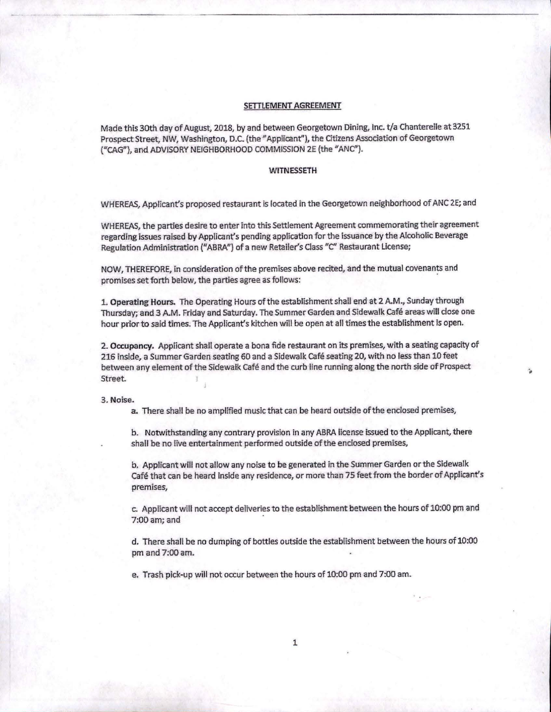#### **SETTLEMENT AGREEMENT**

Made this 30th day of August, 2018, by and between Georgetown Dining, Inc. t/a Chanterelle at 3251 Prospect Street, NW, Washington, D.C. (the" Applicant"), the Citizens Association of Georgetown ("CAG"), and ADVISORY NEIGHBORHOOD COMMISSION 2E (the "ANC").

### **WITNESSETH**

WHEREAS, Applicant's proposed restaurant is located in the Georgetown neighborhood of ANC 2E; and

WHEREAS, the parties desire to enter into this settlement Agreement commemorating their agreement regarding issues raised by Applicant's pending application for the issuance by the Alcoholic Beverage Regulation Administration ("ABRA") of a new Retailer's Class "C" Restaurant License;

NOW, THEREFORE, in consideration of the premises above recited, and the mutual covenants and promises set forth below, the parties agree as follows: ·

L Operating Hours. The Operating Hours of the establishment shall end at 2 A.M., Sunday through Thursday; and 3 A.M. Friday and Saturday. The Summer Garden and Sidewalk cafe areas will dose one hour prior to said times. The Applicant's kitchen will be open at all times the establishment is open.

2. Occupancy. Applicant shall operate a bona fide restaurant on its premises, with a seating capacity of 216 inside, a Summer Garden seating 60 and a Sidewalk Cafe seating 20, with no less than 10 feet between any element of the Sidewalk Cafe and the curb line running along the north side of Prospect Street.

...

3. **Noise.** 

**a.** There shall be no amplified music that can be heard outside of the enclosed premises,

b. Notwithstanding any contrary provision in any ABRA license issued to the Applicant, there shall be no live entertainment performed outside of the enclosed premises,

b. Applicant will not allow any noise to be generated in the Summer Garden or the Sidewalk Café that can be heard inside any residence, or more than 75 feet from the border of Applicant's premises,

c. Applicant will not accept deliveries to the establishment between the hours of 10:00 pm and  $7:00$  am; and

d. There shall be no dumping of bottles outside the establishment between the hours of 10:00 pm and 7:00 am.

e. Trash pick-up will not occur between the hours of 10:00 pm and 7:00 am.